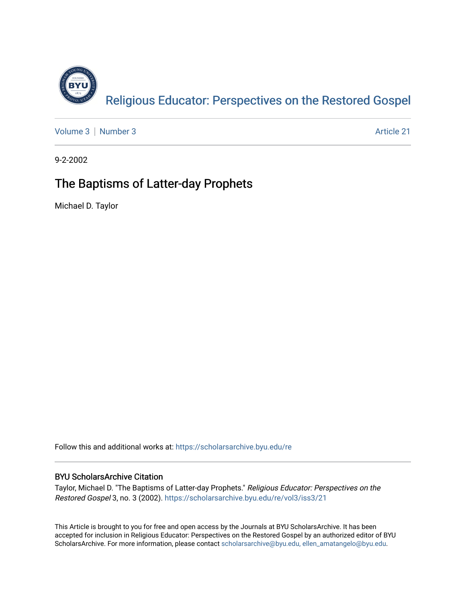

[Volume 3](https://scholarsarchive.byu.edu/re/vol3) [Number 3](https://scholarsarchive.byu.edu/re/vol3/iss3) Article 21

9-2-2002

## The Baptisms of Latter-day Prophets

Michael D. Taylor

Follow this and additional works at: [https://scholarsarchive.byu.edu/re](https://scholarsarchive.byu.edu/re?utm_source=scholarsarchive.byu.edu%2Fre%2Fvol3%2Fiss3%2F21&utm_medium=PDF&utm_campaign=PDFCoverPages)

## BYU ScholarsArchive Citation

Taylor, Michael D. "The Baptisms of Latter-day Prophets." Religious Educator: Perspectives on the Restored Gospel 3, no. 3 (2002). [https://scholarsarchive.byu.edu/re/vol3/iss3/21](https://scholarsarchive.byu.edu/re/vol3/iss3/21?utm_source=scholarsarchive.byu.edu%2Fre%2Fvol3%2Fiss3%2F21&utm_medium=PDF&utm_campaign=PDFCoverPages) 

This Article is brought to you for free and open access by the Journals at BYU ScholarsArchive. It has been accepted for inclusion in Religious Educator: Perspectives on the Restored Gospel by an authorized editor of BYU ScholarsArchive. For more information, please contact [scholarsarchive@byu.edu, ellen\\_amatangelo@byu.edu.](mailto:scholarsarchive@byu.edu,%20ellen_amatangelo@byu.edu)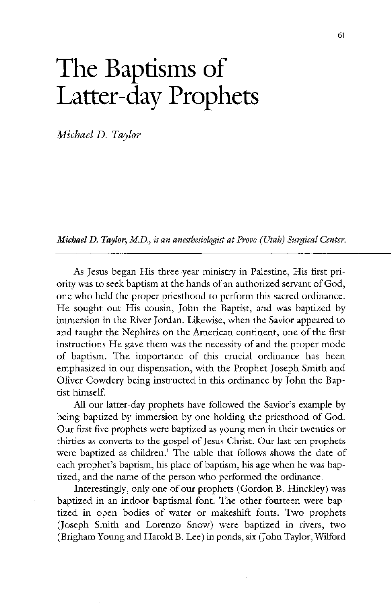## The Baptisms of Latter-day Prophets

Michael D. Taylor

Michael D. Taylor, M.D., is an anesthesiologist at Provo (Utah) Surgical Center.

As Jesus began His three-year ministry in Palestine, His first priority was to seek baptism at the hands of an authorized servant of God, one who held the proper priesthood to perform this sacred ordinance He sought out His cousin, John the Baptist, and was baptized by immersion in the River Jordan. Likewise, when the Savior appeared to and taught the Nephites on the American continent, one of the first instructions He gave them was the necessity of and the proper mode of baptism. The importance of this crucial ordinance has been emphasized in our dispensation, with the Prophet Joseph Smith and Oliver Cowdery being instructed in this ordinance by John the Baptist himself. All our latter-day prophets have followed the Savior's example by being baptized by immersion by one holding the priesthood of God. Our first five prophets were baptized as young men in their twenties or thirties as converts to the gospel of Jesus Christ. Our last ten prophets were baptized as children.<sup>1</sup> The table that follows shows the date of each prophet's baptism, his place of baptism, his age when he was baptized, and the name of the person who performed the ordinance. Interestingly, only one of our prophets (Gordon B. Hinckley) was baptized in an indoor baptismal font. The other fourteen were baptized in open bodies of water or makeshift fonts. Two prophets (Joseph Smith and Lorenzo Snow) were baptized in rivers, two (Brigham Young and Harold B. Lee) in ponds, six (John Taylor, Wilford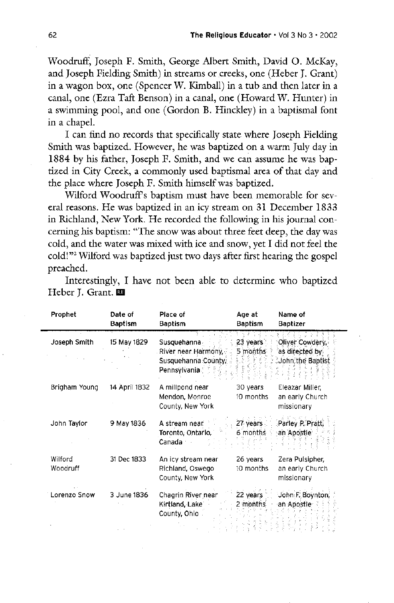Woodruff, Joseph F. Smith, George Albert Smith, David O. McKay, and Joseph Fielding Smith) in streams or creeks, one (Heber J. Grant) in a wagon box, one (Spencer W. Kimball) in a tub and then later in a canal, one (Ezra Taft Benson) in a canal, one (Howard W. Hunter) in a swimming pool, and one (Gordon B. Hinckley) in a baptismal font in a chapel

I can find no records that specifically state where Joseph Fielding Smith was baptized. However, he was baptized on a warm July day in 1884 by his father, Joseph F. Smith, and we can assume he was baptized in City Creek, a commonly used baptismal area of that day and the place where Joseph F. Smith himself was baptized.

wilford woodruffs baptism must have been memorable for sev eral reasons. He was baptized in an icy stream on 31 December 1833 in Richland, New York. He recorded the following in his journal concerning his baptism: "The snow was about three feet deep, the day was cold, and the water was mixed with ice and snow, yet I did not feel the cold!"<sup>2</sup> Wilford was baptized just two days after first hearing the gospel preached

Interestingly, I have not been able to determine who baptized Heber J. Grant. 201

| Prophet             | Date of<br><b>Baptism</b> | Place of<br><b>Baptism</b>                                                | Age at<br><b>Baptism</b> | Name of<br><b>Baptizer</b>                                 |
|---------------------|---------------------------|---------------------------------------------------------------------------|--------------------------|------------------------------------------------------------|
| Joseph Smith        | 15 May 1829               | Susquehanna<br>River near Harmony,<br>Susquehanna County,<br>Pennsylvania | 23.<br>years<br>5 months | Oliver Cowdery,<br>as directed by $\,$<br>John the Baptist |
| Brigham Young       | 14 April 1832             | A millpond near<br>Mendon, Monroe<br>County, New York                     | 30 years<br>10 months    | Eleazar Miller,<br>an early Church<br>missionary           |
| John Taylor         | 9 May 1836                | A stream near<br>Toronto, Ontario,<br>Canada                              | 27 years<br>6 months     | Parley P. Pratt,<br>an Apostle                             |
| Wilford<br>Woodruff | 31 Dec 1833               | An icy stream near<br>Richland, Oswego<br>County, New York                | 26 years<br>10 months    | Zera Pulsipher,<br>an early Church<br>missionary           |
| Lorenzo Snow        | 3 June 1836               | Chagrin River near<br>Kirtland, Lake<br>County, Ohio                      | 22 years<br>2 months     | John F. Boynton,<br>an Apostle                             |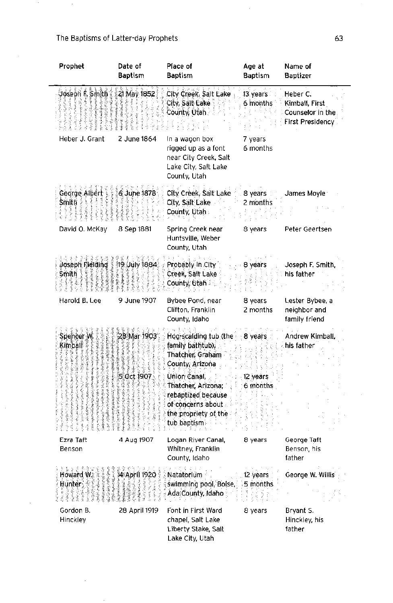$\sim 10^{11}$ 

 $\mathcal{A}^{\mathcal{A}}$  and  $\mathcal{A}^{\mathcal{A}}$ 

 $\mathcal{L}^{\text{max}}_{\text{max}}$  and  $\mathcal{L}^{\text{max}}_{\text{max}}$ 

| Prophet                                                                                                                        | Date of<br><b>Baptism</b>      | Place of<br><b>Baptism</b>                                                                                                                                                                                                                                                                                                                                          | Age at<br><b>Baptism</b> | Name of<br><b>Baptizer</b>                                                  |
|--------------------------------------------------------------------------------------------------------------------------------|--------------------------------|---------------------------------------------------------------------------------------------------------------------------------------------------------------------------------------------------------------------------------------------------------------------------------------------------------------------------------------------------------------------|--------------------------|-----------------------------------------------------------------------------|
| Joseph F. Smith L                                                                                                              | 21 May 1852                    | City Creek, Salt Lake<br>City, Salt Lake<br>County, Utah                                                                                                                                                                                                                                                                                                            | 13 years<br>6 months     | Heber C.<br>Kimball, First<br>Counselor in the l<br><b>First Presidency</b> |
| Heber J. Grant                                                                                                                 | 2 June 1864                    | In a wagon box<br>rigged up as a font<br>near City Creek, Salt<br>Lake City, Salt Lake<br>County, Utah                                                                                                                                                                                                                                                              | 7 years<br>6 months      |                                                                             |
| George Albert<br>$\mathop{\rm SmHb}\nolimits\mathop{\geqslant}\nolimits\mathop{\geqslant}\nolimits\mathop{\leqslant}\nolimits$ | 6 June 1878                    | City Creek, Salt Lake 8 years<br>City, Salt Lake<br>County, Utah                                                                                                                                                                                                                                                                                                    | 2 months                 | James Moyle<br>and the con-                                                 |
| David O. McKay                                                                                                                 | 8 Sep 1881                     | Spring Creek near<br>Huntsville, Weber<br>County, Utah                                                                                                                                                                                                                                                                                                              | 8 years                  | Peter Geertsen                                                              |
| $\mathsf{Smith} \to \mathbb{R}$                                                                                                | Joseph Rielding   19 July 1884 | Probably in City<br>Creek, Salt Lake<br>् County, Utah                                                                                                                                                                                                                                                                                                              | years                    | Joseph F. Smith,<br>his father                                              |
| Harold B. Lee                                                                                                                  | 9 June 1907                    | Bybee Pond, near<br>Clifton, Franklin<br>County, Idaho                                                                                                                                                                                                                                                                                                              | 8 years<br>2 months      | Lester Bybee, a<br>neighbor and<br>family friend                            |
| Spencer W<br>Kimball                                                                                                           | ⊋8 Mar 1903.<br>5 Oct 1907     | Hog-scalding tub (the<br>family bathtub),<br>Thatcher, Graham $\,$ $\,$<br>County, Arizona<br>Union Canal, and the contract of the contract of the contract of the contract of the contract of the contract o<br><b>Thatcher, Arizona, 2018 6 months</b><br>rebaptized because and the season of<br>of concerns about<br>the propriety of the<br><b>tub baptism</b> | - 8 years<br>- 12 years  | Andrew Kimball,<br>his father                                               |
| Ezra Taft<br>Benson                                                                                                            | 4 Aug 1907                     | Logan River Canal,<br>Whitney, Franklin<br>County, Idaho                                                                                                                                                                                                                                                                                                            | 8 years                  | George Taft<br>Benson, his<br>father                                        |
| Howard W<br>Hunter f                                                                                                           | 34 April 1920 (                | Natatorium <b>Matatorium</b><br>swimming pool, Boise. 5 months<br>Ada $\in$ County, Idaho                                                                                                                                                                                                                                                                           | <b>12 years</b>          | George W. Willis                                                            |
| Gordon B.<br><b>Hinckley</b>                                                                                                   | 28 April 1919                  | Font in First Ward<br>chapel, Salt Lake<br>Liberty Stake, Sait<br>Lake City, Utah                                                                                                                                                                                                                                                                                   | 8 years                  | Bryant S.<br>Hinckley, his<br>father                                        |

 $\mathcal{A}^{\mathcal{A}}$ 

 $\mathcal{A}^{\mathcal{A}}$ 

 $\sim$ 

 $\mathcal{O}(\mathcal{A}^{\mathcal{A}})$  and  $\mathcal{O}(\mathcal{A}^{\mathcal{A}})$